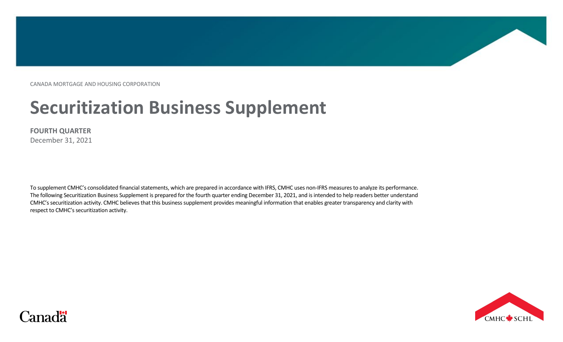CANADA MORTGAGE AND HOUSING CORPORATION

# **Securitization Business Supplement**

#### **FOURTH QUARTER**

December 31, 2021

To supplement CMHC's consolidated financial statements, which are prepared in accordance with IFRS, CMHC uses non-IFRS measures to analyze its performance. The following Securitization Business Supplement is prepared for the fourth quarter ending December 31, 2021, and is intended to help readers better understand CMHC's securitization activity. CMHC believes that this business supplement provides meaningful information that enables greater transparency and clarity with respect to CMHC's securitization activity.



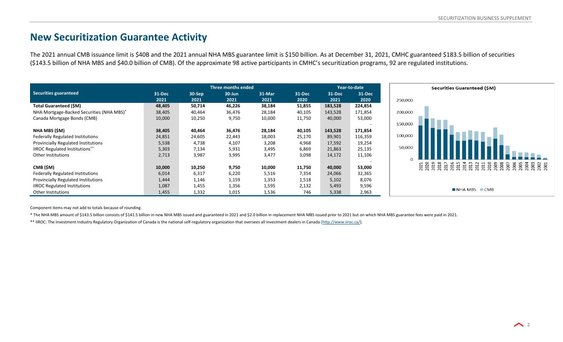### **New Securitization Guarantee Activity**

The 2021 annual CMB issuance limit is \$40B and the 2021 annual NHA MBS guarantee limit is \$150 billion. As at December 31, 2021, CMHC guaranteed \$183.5 billion of securities (\$143.5 billion of NHA MBS and \$40.0 billion of CMB). Of the approximate 98 active participants in CMHC's securitization programs, 92 are regulated institutions.



Component items may not add to totals because of rounding.

\* The NHA MBS amount of \$143.5 billion consists of \$141.5 billion in new NHA MBS issued and guaranteed in 2021 and \$2.0 billion in replacement NHA MBS issued prior to 2021 but on which NHA MBS guarantee fees were paid in 2

\*\* IIROC: The Investment Industry Regulatory Organization of Canada is the national self-regulatory organization that oversees all investment dealers in Canada [\(http://www.iiroc.ca/\)](http://www.iiroc.ca/).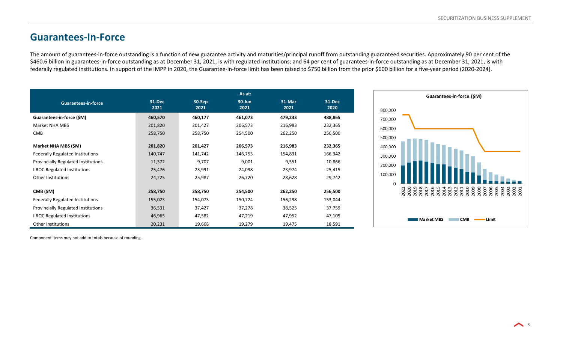# **Guarantees-In-Force**

The amount of guarantees-in-force outstanding is a function of new guarantee activity and maturities/principal runoff from outstanding guaranteed securities. Approximately 90 per cent of the \$460.6 billion in guarantees-in-force outstanding as at December 31, 2021, is with regulated institutions; and 64 per cent of guarantees-in-force outstanding as at December 31, 2021, is with federally regulated institutions. In support of the IMPP in 2020, the Guarantee-in-force limit has been raised to \$750 billion from the prior \$600 billion for a five-year period (2020-2024).

|                                     |                |                  | As at:             |                |                |
|-------------------------------------|----------------|------------------|--------------------|----------------|----------------|
| <b>Guarantees-in-force</b>          | 31-Dec<br>2021 | $30-Sep$<br>2021 | $30 - Jun$<br>2021 | 31-Mar<br>2021 | 31-Dec<br>2020 |
| Guarantees-in-force (\$M)           | 460,570        | 460,177          | 461,073            | 479,233        | 488,865        |
| Market NHA MBS                      | 201,820        | 201,427          | 206,573            | 216,983        | 232,365        |
| <b>CMB</b>                          | 258,750        | 258,750          | 254,500            | 262,250        | 256,500        |
| Market NHA MBS (\$M)                | 201,820        | 201,427          | 206,573            | 216,983        | 232,365        |
| Federally Regulated Institutions    | 140,747        | 141,742          | 146,753            | 154,831        | 166,342        |
| Provincially Regulated Institutions | 11,372         | 9,707            | 9,001              | 9,551          | 10,866         |
| <b>IIROC Regulated Institutions</b> | 25,476         | 23,991           | 24,098             | 23,974         | 25,415         |
| Other Institutions                  | 24,225         | 25,987           | 26,720             | 28,628         | 29,742         |
|                                     |                |                  |                    |                |                |
| CMB (\$M)                           | 258,750        | 258,750          | 254,500            | 262,250        | 256,500        |
| Federally Regulated Institutions    | 155,023        | 154,073          | 150,724            | 156,298        | 153,044        |
| Provincially Regulated Institutions | 36,531         | 37,427           | 37,278             | 38,525         | 37,759         |
| <b>IIROC Regulated Institutions</b> | 46,965         | 47,582           | 47,219             | 47,952         | 47,105         |
| Other Institutions                  | 20,231         | 19,668           | 19,279             | 19,475         | 18,591         |



Component items may not add to totals because of rounding.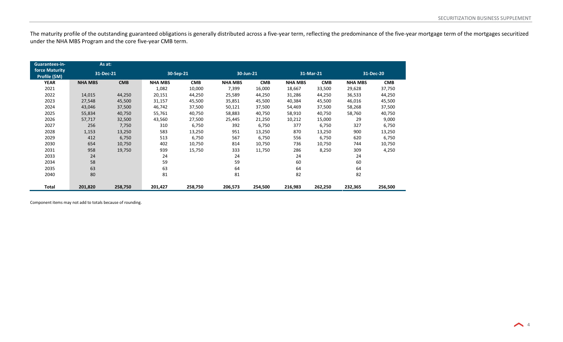The maturity profile of the outstanding guaranteed obligations is generally distributed across a five-year term, reflecting the predominance of the five-year mortgage term of the mortgages securitized under the NHA MBS Program and the core five-year CMB term.

| Guarantees-in-                         | As at:         |            |                |            |                |            |                |            |                |            |
|----------------------------------------|----------------|------------|----------------|------------|----------------|------------|----------------|------------|----------------|------------|
| <b>force Maturity</b><br>Profile (\$M) | 31-Dec-21      |            | 30-Sep-21      |            | 30-Jun-21      |            |                | 31-Mar-21  |                | 31-Dec-20  |
| <b>YEAR</b>                            | <b>NHA MBS</b> | <b>CMB</b> | <b>NHA MBS</b> | <b>CMB</b> | <b>NHA MBS</b> | <b>CMB</b> | <b>NHA MBS</b> | <b>CMB</b> | <b>NHA MBS</b> | <b>CMB</b> |
| 2021                                   |                |            | 1,082          | 10,000     | 7,399          | 16,000     | 18,667         | 33,500     | 29,628         | 37,750     |
| 2022                                   | 14,015         | 44,250     | 20,151         | 44,250     | 25,589         | 44,250     | 31,286         | 44,250     | 36,533         | 44,250     |
| 2023                                   | 27,548         | 45,500     | 31,157         | 45,500     | 35,851         | 45,500     | 40,384         | 45,500     | 46,016         | 45,500     |
| 2024                                   | 43,046         | 37,500     | 46,742         | 37,500     | 50,121         | 37,500     | 54,469         | 37,500     | 58,268         | 37,500     |
| 2025                                   | 55,834         | 40,750     | 55,761         | 40,750     | 58,883         | 40,750     | 58,910         | 40,750     | 58,760         | 40,750     |
| 2026                                   | 57,717         | 32,500     | 43,560         | 27,500     | 25,445         | 21,250     | 10,212         | 15,000     | 29             | 9,000      |
| 2027                                   | 256            | 7,750      | 310            | 6,750      | 392            | 6,750      | 377            | 6,750      | 327            | 6,750      |
| 2028                                   | 1,153          | 13,250     | 583            | 13,250     | 951            | 13,250     | 870            | 13,250     | 900            | 13,250     |
| 2029                                   | 412            | 6,750      | 513            | 6,750      | 567            | 6,750      | 556            | 6,750      | 620            | 6,750      |
| 2030                                   | 654            | 10,750     | 402            | 10,750     | 814            | 10,750     | 736            | 10,750     | 744            | 10,750     |
| 2031                                   | 958            | 19,750     | 939            | 15,750     | 333            | 11,750     | 286            | 8,250      | 309            | 4,250      |
| 2033                                   | 24             |            | 24             |            | 24             |            | 24             |            | 24             |            |
| 2034                                   | 58             |            | 59             |            | 59             |            | 60             |            | 60             |            |
| 2035                                   | 63             |            | 63             |            | 64             |            | 64             |            | 64             |            |
| 2040                                   | 80             |            | 81             |            | 81             |            | 82             |            | 82             |            |
| Total                                  | 201,820        | 258,750    | 201,427        | 258,750    | 206,573        | 254,500    | 216,983        | 262,250    | 232,365        | 256,500    |

Component items may not add to totals because of rounding.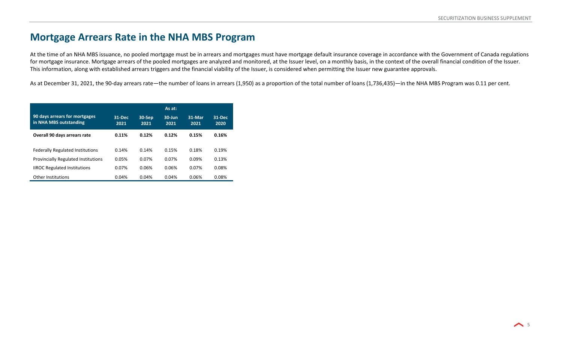#### **Mortgage Arrears Rate in the NHA MBS Program**

At the time of an NHA MBS issuance, no pooled mortgage must be in arrears and mortgages must have mortgage default insurance coverage in accordance with the Government of Canada regulations for mortgage insurance. Mortgage arrears of the pooled mortgages are analyzed and monitored, at the Issuer level, on a monthly basis, in the context of the overall financial condition of the Issuer. This information, along with established arrears triggers and the financial viability of the Issuer, is considered when permitting the Issuer new guarantee approvals.

As at December 31, 2021, the 90-day arrears rate—the number of loans in arrears (1,950) as a proportion of the total number of loans (1,736,435)—in the NHA MBS Program was 0.11 per cent.

|                                                         |                |                | As at:            |                |                |
|---------------------------------------------------------|----------------|----------------|-------------------|----------------|----------------|
| 90 days arrears for mortgages<br>in NHA MBS outstanding | 31-Dec<br>2021 | 30-Sep<br>2021 | $30$ -Jun<br>2021 | 31-Mar<br>2021 | 31-Dec<br>2020 |
| Overall 90 days arrears rate                            | 0.11%          | 0.12%          | 0.12%             | 0.15%          | 0.16%          |
| <b>Federally Regulated Institutions</b>                 | 0.14%          | 0.14%          | 0.15%             | 0.18%          | 0.19%          |
| <b>Provincially Regulated Institutions</b>              | 0.05%          | 0.07%          | 0.07%             | 0.09%          | 0.13%          |
| <b>IIROC Regulated Institutions</b>                     | 0.07%          | 0.06%          | 0.06%             | 0.07%          | 0.08%          |
| <b>Other Institutions</b>                               | 0.04%          | 0.04%          | 0.04%             | 0.06%          | 0.08%          |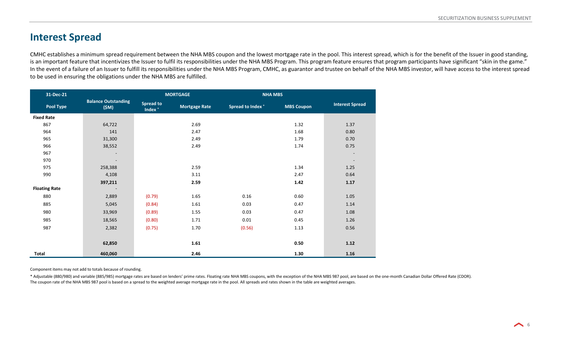## **Interest Spread**

CMHC establishes a minimum spread requirement between the NHA MBS coupon and the lowest mortgage rate in the pool. This interest spread, which is for the benefit of the Issuer in good standing, is an important feature that incentivizes the Issuer to fulfil its responsibilities under the NHA MBS Program. This program feature ensures that program participants have significant "skin in the game." In the event of a failure of an Issuer to fulfill its responsibilities under the NHA MBS Program, CMHC, as guarantor and trustee on behalf of the NHA MBS investor, will have access to the interest spread to be used in ensuring the obligations under the NHA MBS are fulfilled.

| 31-Dec-21            |                                    | <b>MORTGAGE</b>                        |                      |                         | <b>NHA MBS</b>    |                          |  |
|----------------------|------------------------------------|----------------------------------------|----------------------|-------------------------|-------------------|--------------------------|--|
| <b>Pool Type</b>     | <b>Balance Outstanding</b><br>(SM) | <b>Spread to</b><br>Index <sup>*</sup> | <b>Mortgage Rate</b> | <b>Spread to Index*</b> | <b>MBS Coupon</b> | <b>Interest Spread</b>   |  |
| <b>Fixed Rate</b>    |                                    |                                        |                      |                         |                   |                          |  |
| 867                  | 64,722                             |                                        | 2.69                 |                         | 1.32              | 1.37                     |  |
| 964                  | 141                                |                                        | 2.47                 |                         | 1.68              | 0.80                     |  |
| 965                  | 31,300                             |                                        | 2.49                 |                         | 1.79              | 0.70                     |  |
| 966                  | 38,552                             |                                        | 2.49                 |                         | 1.74              | 0.75                     |  |
| 967                  | $\overline{\phantom{a}}$           |                                        |                      |                         |                   | $\overline{\phantom{a}}$ |  |
| 970                  | ۰.                                 |                                        |                      |                         |                   | $\overline{\phantom{a}}$ |  |
| 975                  | 258,388                            |                                        | 2.59                 |                         | 1.34              | 1.25                     |  |
| 990                  | 4,108                              |                                        | 3.11                 |                         | 2.47              | 0.64                     |  |
|                      | 397,211                            |                                        | 2.59                 |                         | 1.42              | 1.17                     |  |
| <b>Floating Rate</b> | $\sim$                             |                                        |                      |                         |                   |                          |  |
| 880                  | 2,889                              | (0.79)                                 | 1.65                 | 0.16                    | 0.60              | 1.05                     |  |
| 885                  | 5,045                              | (0.84)                                 | 1.61                 | 0.03                    | 0.47              | 1.14                     |  |
| 980                  | 33,969                             | (0.89)                                 | 1.55                 | 0.03                    | 0.47              | 1.08                     |  |
| 985                  | 18,565                             | (0.80)                                 | 1.71                 | 0.01                    | 0.45              | 1.26                     |  |
| 987                  | 2,382                              | (0.75)                                 | 1.70                 | (0.56)                  | 1.13              | 0.56                     |  |
|                      |                                    |                                        |                      |                         |                   |                          |  |
|                      | 62,850                             |                                        | 1.61                 |                         | 0.50              | 1.12                     |  |
| Total                | 460,060                            |                                        | 2.46                 |                         | 1.30              | 1.16                     |  |

Component items may not add to totals because of rounding.

\* Adjustable (880/980) and variable (885/985) mortgage rates are based on lenders' prime rates. Floating rate NHA MBS coupons, with the exception of the NHA MBS 987 pool, are based on the one-month Canadian Dollar Offered The coupon rate of the NHA MBS 987 pool is based on a spread to the weighted average mortgage rate in the pool. All spreads and rates shown in the table are weighted averages.